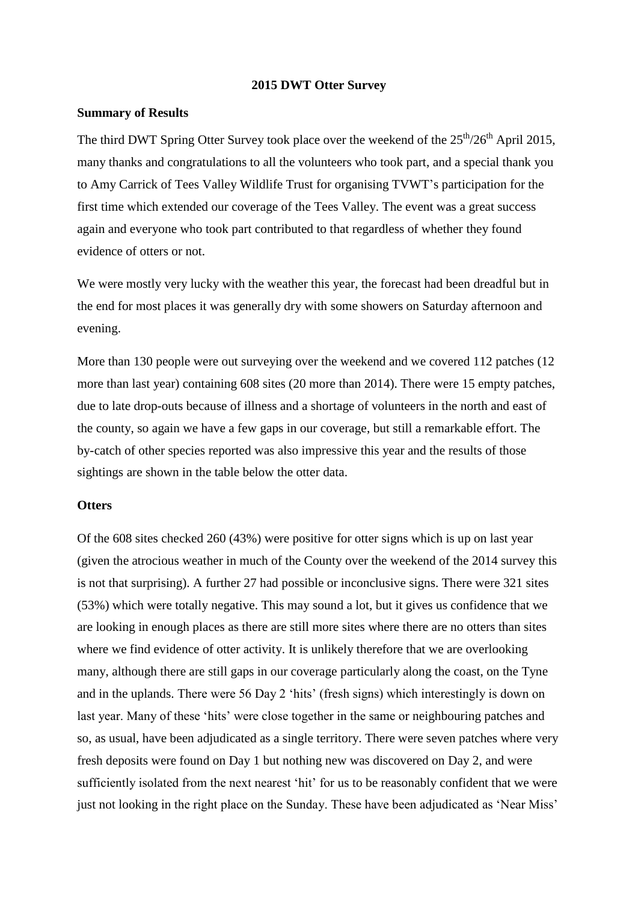#### **2015 DWT Otter Survey**

### **Summary of Results**

The third DWT Spring Otter Survey took place over the weekend of the  $25<sup>th</sup>/26<sup>th</sup>$  April 2015, many thanks and congratulations to all the volunteers who took part, and a special thank you to Amy Carrick of Tees Valley Wildlife Trust for organising TVWT's participation for the first time which extended our coverage of the Tees Valley. The event was a great success again and everyone who took part contributed to that regardless of whether they found evidence of otters or not.

We were mostly very lucky with the weather this year, the forecast had been dreadful but in the end for most places it was generally dry with some showers on Saturday afternoon and evening.

More than 130 people were out surveying over the weekend and we covered 112 patches (12 more than last year) containing 608 sites (20 more than 2014). There were 15 empty patches, due to late drop-outs because of illness and a shortage of volunteers in the north and east of the county, so again we have a few gaps in our coverage, but still a remarkable effort. The by-catch of other species reported was also impressive this year and the results of those sightings are shown in the table below the otter data.

#### **Otters**

Of the 608 sites checked 260 (43%) were positive for otter signs which is up on last year (given the atrocious weather in much of the County over the weekend of the 2014 survey this is not that surprising). A further 27 had possible or inconclusive signs. There were 321 sites (53%) which were totally negative. This may sound a lot, but it gives us confidence that we are looking in enough places as there are still more sites where there are no otters than sites where we find evidence of otter activity. It is unlikely therefore that we are overlooking many, although there are still gaps in our coverage particularly along the coast, on the Tyne and in the uplands. There were 56 Day 2 'hits' (fresh signs) which interestingly is down on last year. Many of these 'hits' were close together in the same or neighbouring patches and so, as usual, have been adjudicated as a single territory. There were seven patches where very fresh deposits were found on Day 1 but nothing new was discovered on Day 2, and were sufficiently isolated from the next nearest 'hit' for us to be reasonably confident that we were just not looking in the right place on the Sunday. These have been adjudicated as 'Near Miss'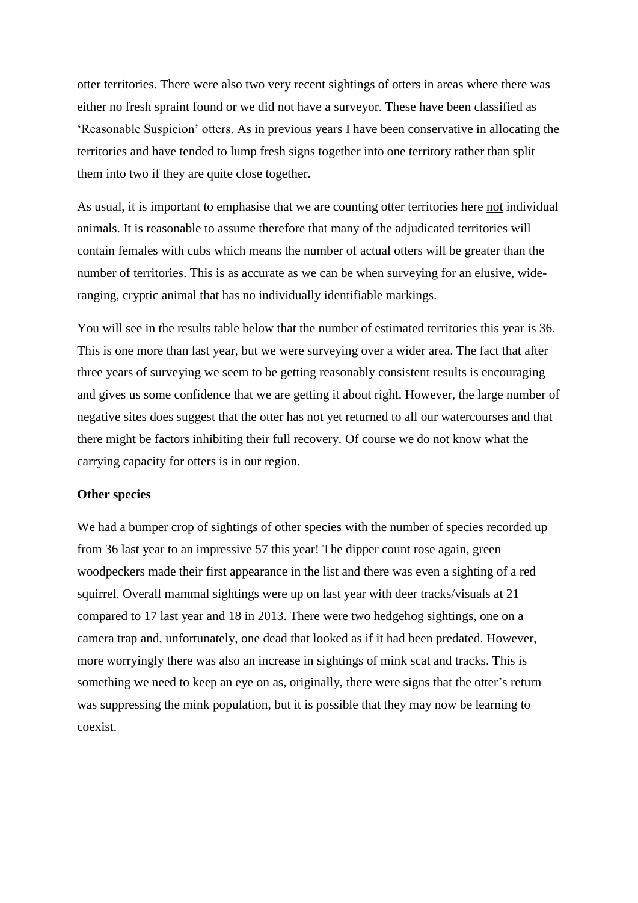otter territories. There were also two very recent sightings of otters in areas where there was either no fresh spraint found or we did not have a surveyor. These have been classified as 'Reasonable Suspicion' otters. As in previous years I have been conservative in allocating the territories and have tended to lump fresh signs together into one territory rather than split them into two if they are quite close together.

As usual, it is important to emphasise that we are counting otter territories here not individual animals. It is reasonable to assume therefore that many of the adjudicated territories will contain females with cubs which means the number of actual otters will be greater than the number of territories. This is as accurate as we can be when surveying for an elusive, wideranging, cryptic animal that has no individually identifiable markings.

You will see in the results table below that the number of estimated territories this year is 36. This is one more than last year, but we were surveying over a wider area. The fact that after three years of surveying we seem to be getting reasonably consistent results is encouraging and gives us some confidence that we are getting it about right. However, the large number of negative sites does suggest that the otter has not yet returned to all our watercourses and that there might be factors inhibiting their full recovery. Of course we do not know what the carrying capacity for otters is in our region.

#### **Other species**

We had a bumper crop of sightings of other species with the number of species recorded up from 36 last year to an impressive 57 this year! The dipper count rose again, green woodpeckers made their first appearance in the list and there was even a sighting of a red squirrel. Overall mammal sightings were up on last year with deer tracks/visuals at 21 compared to 17 last year and 18 in 2013. There were two hedgehog sightings, one on a camera trap and, unfortunately, one dead that looked as if it had been predated. However, more worryingly there was also an increase in sightings of mink scat and tracks. This is something we need to keep an eye on as, originally, there were signs that the otter's return was suppressing the mink population, but it is possible that they may now be learning to coexist.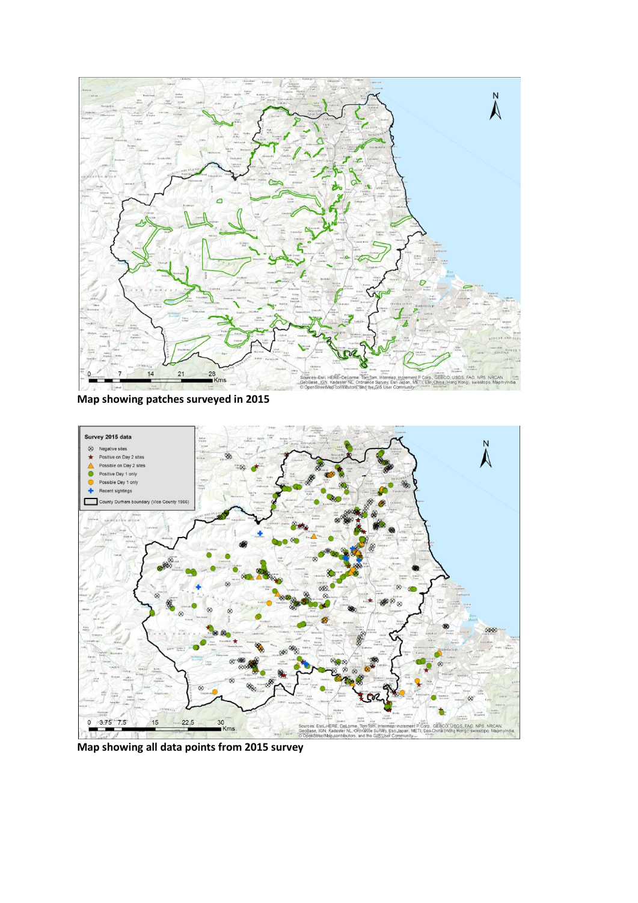

**Map showing patches surveyed in 2015**



**Map showing all data points from 2015 survey**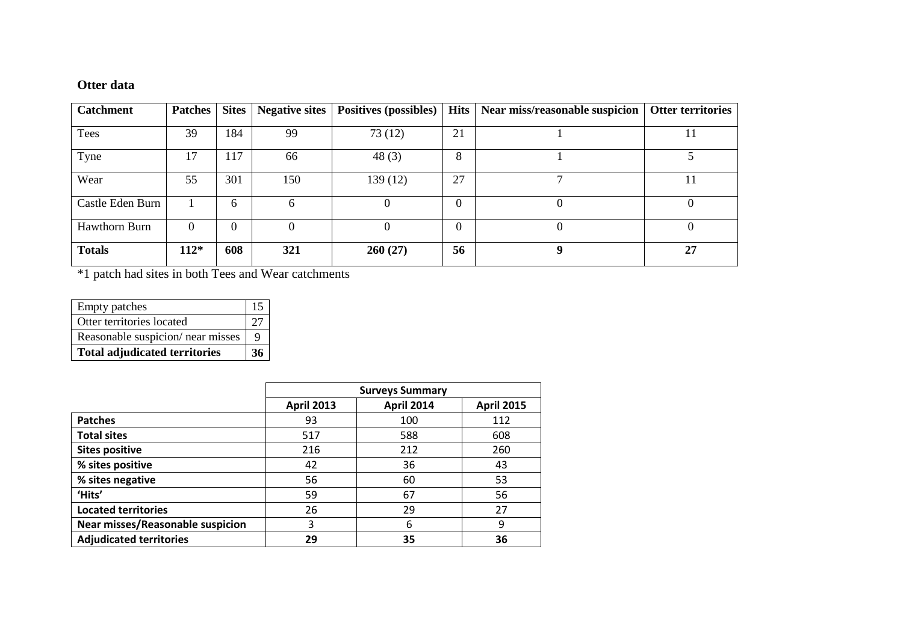## **Otter data**

| <b>Catchment</b> | <b>Patches</b> | <b>Sites</b> | Negative sites | <b>Positives (possibles)</b> | <b>Hits</b> | Near miss/reasonable suspicion | <b>Otter territories</b> |
|------------------|----------------|--------------|----------------|------------------------------|-------------|--------------------------------|--------------------------|
| Tees             | 39             | 184          | 99             | 73(12)                       | 21          |                                | 11                       |
| Tyne             | 17             | 117          | 66             | 48 $(3)$                     | 8           |                                |                          |
| Wear             | 55             | 301          | 150            | 139 (12)                     | 27          |                                |                          |
| Castle Eden Burn |                | 6            | 6              | O                            | $\theta$    |                                | O                        |
| Hawthorn Burn    | $\theta$       | $\Omega$     | $\Omega$       | $\Omega$                     | $\theta$    |                                | $\Omega$                 |
| <b>Totals</b>    | $112*$         | 608          | 321            | 260(27)                      | 56          | Q                              | 27                       |

\*1 patch had sites in both Tees and Wear catchments

| <b>Empty patches</b>                 | 15 |
|--------------------------------------|----|
| Otter territories located            |    |
| Reasonable suspicion/ near misses    |    |
| <b>Total adjudicated territories</b> |    |

|                                  |                   | <b>Surveys Summary</b> |                   |
|----------------------------------|-------------------|------------------------|-------------------|
|                                  | <b>April 2013</b> | <b>April 2014</b>      | <b>April 2015</b> |
| <b>Patches</b>                   | 93                | 100                    | 112               |
| <b>Total sites</b>               | 517               | 588                    | 608               |
| <b>Sites positive</b>            | 216               | 212                    | 260               |
| % sites positive                 | 42                | 36                     | 43                |
| % sites negative                 | 56                | 60                     | 53                |
| 'Hits'                           | 59                | 67                     | 56                |
| <b>Located territories</b>       | 26                | 29                     | 27                |
| Near misses/Reasonable suspicion | 3                 | 6                      | 9                 |
| <b>Adjudicated territories</b>   | 29                | 35                     | 36                |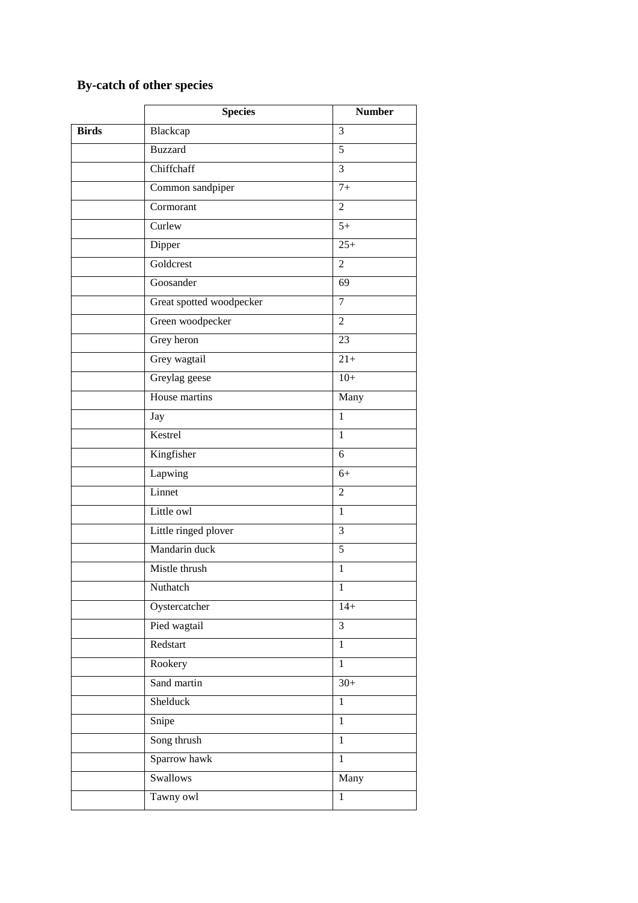# **By-catch of other species**

|              | <b>Species</b>           | <b>Number</b>     |
|--------------|--------------------------|-------------------|
| <b>Birds</b> | Blackcap                 | 3                 |
|              | <b>Buzzard</b>           | 5                 |
|              | Chiffchaff               | $\overline{3}$    |
|              | Common sandpiper         | $7+$              |
|              | Cormorant                | $\overline{2}$    |
|              | Curlew                   | $5+$              |
|              | Dipper                   | $25+$             |
|              | Goldcrest                | $\mathfrak{2}$    |
|              | Goosander                | 69                |
|              | Great spotted woodpecker | 7                 |
|              | Green woodpecker         | $\overline{2}$    |
|              | Grey heron               | 23                |
|              | Grey wagtail             | $\overline{21}$ + |
|              | Greylag geese            | $10+$             |
|              | House martins            | Many              |
|              | Jay                      | $\mathbf{1}$      |
|              | Kestrel                  | $\mathbf{1}$      |
|              | Kingfisher               | 6                 |
|              | Lapwing                  | $6+$              |
|              | Linnet                   | $\overline{2}$    |
|              | Little owl               | $\mathbf{1}$      |
|              | Little ringed plover     | 3                 |
|              | Mandarin duck            | 5                 |
|              | Mistle thrush            | $\mathbf{1}$      |
|              | Nuthatch                 | $\mathbf{I}$      |
|              | Oystercatcher            | $14+$             |
|              | Pied wagtail             | $\overline{3}$    |
|              | Redstart                 | $\overline{1}$    |
|              | Rookery                  | $\mathbf{1}$      |
|              | Sand martin              | $\overline{30}$ + |
|              | Shelduck                 | $\mathbf{1}$      |
|              | Snipe                    | $\mathbf{1}$      |
|              | Song thrush              | $\mathbf{1}$      |
|              | Sparrow hawk             | $\mathbf{1}$      |
|              | Swallows                 | Many              |
|              | Tawny owl                | $\mathbf{1}$      |